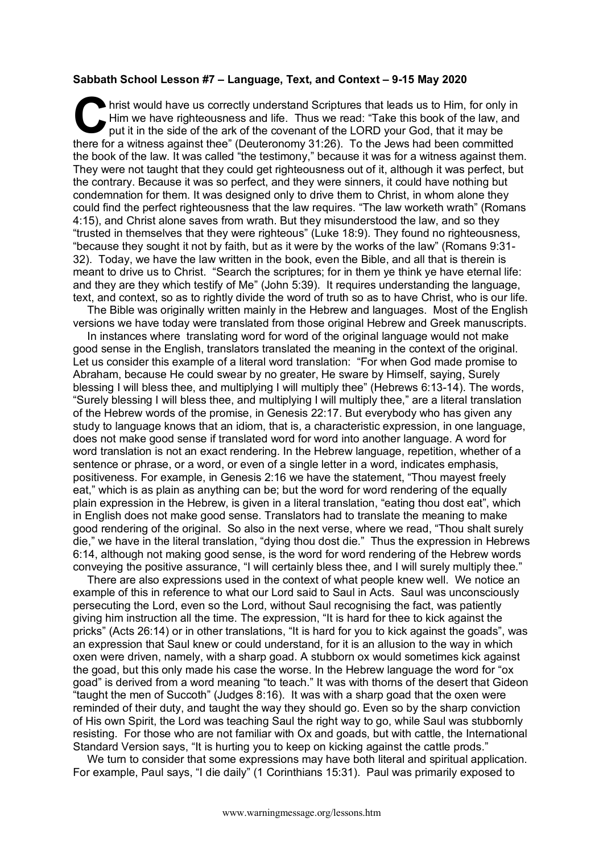## **Sabbath School Lesson #7 – Language, Text, and Context – 9-15 May 2020**

hrist would have us correctly understand Scriptures that leads us to Him, for only in Him we have righteousness and life. Thus we read: "Take this book of the law, and put it in the side of the ark of the covenant of the LORD your God, that it may be there for a witness against thee" (Deuteronomy 31:26). To the Jews had been committed the book of the law. It was called "the testimony," because it was for a witness against them. They were not taught that they could get righteousness out of it, although it was perfect, but the contrary. Because it was so perfect, and they were sinners, it could have nothing but condemnation for them. It was designed only to drive them to Christ, in whom alone they could find the perfect righteousness that the law requires. "The law worketh wrath" (Romans 4:15), and Christ alone saves from wrath. But they misunderstood the law, and so they "trusted in themselves that they were righteous" (Luke 18:9). They found no righteousness, "because they sought it not by faith, but as it were by the works of the law" (Romans 9:31- 32). Today, we have the law written in the book, even the Bible, and all that is therein is meant to drive us to Christ. "Search the scriptures; for in them ye think ye have eternal life: and they are they which testify of Me" (John 5:39). It requires understanding the language, text, and context, so as to rightly divide the word of truth so as to have Christ, who is our life. **C** hris

The Bible was originally written mainly in the Hebrew and languages. Most of the English versions we have today were translated from those original Hebrew and Greek manuscripts.

In instances where translating word for word of the original language would not make good sense in the English, translators translated the meaning in the context of the original. Let us consider this example of a literal word translation: "For when God made promise to Abraham, because He could swear by no greater, He sware by Himself, saying, Surely blessing I will bless thee, and multiplying I will multiply thee" (Hebrews 6:13-14). The words, "Surely blessing I will bless thee, and multiplying I will multiply thee," are a literal translation of the Hebrew words of the promise, in Genesis 22:17. But everybody who has given any study to language knows that an idiom, that is, a characteristic expression, in one language, does not make good sense if translated word for word into another language. A word for word translation is not an exact rendering. In the Hebrew language, repetition, whether of a sentence or phrase, or a word, or even of a single letter in a word, indicates emphasis, positiveness. For example, in Genesis 2:16 we have the statement, "Thou mayest freely eat," which is as plain as anything can be; but the word for word rendering of the equally plain expression in the Hebrew, is given in a literal translation, "eating thou dost eat", which in English does not make good sense. Translators had to translate the meaning to make good rendering of the original. So also in the next verse, where we read, "Thou shalt surely die," we have in the literal translation, "dying thou dost die." Thus the expression in Hebrews 6:14, although not making good sense, is the word for word rendering of the Hebrew words conveying the positive assurance, "I will certainly bless thee, and I will surely multiply thee."

There are also expressions used in the context of what people knew well. We notice an example of this in reference to what our Lord said to Saul in Acts. Saul was unconsciously persecuting the Lord, even so the Lord, without Saul recognising the fact, was patiently giving him instruction all the time. The expression, "It is hard for thee to kick against the pricks" (Acts 26:14) or in other translations, "It is hard for you to kick against the goads", was an expression that Saul knew or could understand, for it is an allusion to the way in which oxen were driven, namely, with a sharp goad. A stubborn ox would sometimes kick against the goad, but this only made his case the worse. In the Hebrew language the word for "ox goad" is derived from a word meaning "to teach." It was with thorns of the desert that Gideon "taught the men of Succoth" (Judges 8:16). It was with a sharp goad that the oxen were reminded of their duty, and taught the way they should go. Even so by the sharp conviction of His own Spirit, the Lord was teaching Saul the right way to go, while Saul was stubbornly resisting. For those who are not familiar with Ox and goads, but with cattle, the International Standard Version says, "It is hurting you to keep on kicking against the cattle prods."

We turn to consider that some expressions may have both literal and spiritual application. For example, Paul says, "I die daily" (1 Corinthians 15:31). Paul was primarily exposed to